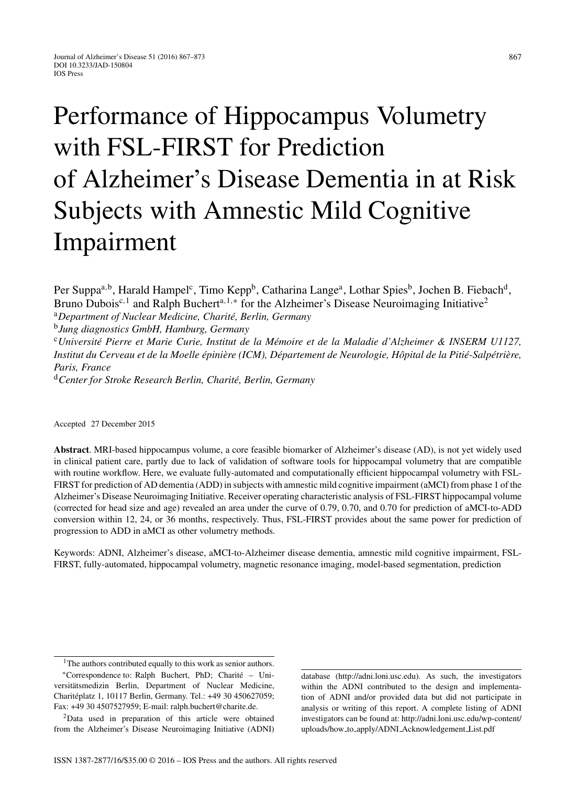# Performance of Hippocampus Volumetry with FSL-FIRST for Prediction of Alzheimer's Disease Dementia in at Risk Subjects with Amnestic Mild Cognitive Impairment

Per Suppa<sup>a,b</sup>, Harald Hampel<sup>c</sup>, Timo Kepp<sup>b</sup>, Catharina Lange<sup>a</sup>, Lothar Spies<sup>b</sup>, Jochen B. Fiebach<sup>d</sup>, Bruno Dubois<sup>c,1</sup> and Ralph Buchert<sup>a,1,∗</sup> for the Alzheimer's Disease Neuroimaging Initiative<sup>2</sup>

<sup>a</sup>Department of Nuclear Medicine, Charité, Berlin, Germany

<sup>b</sup>*Jung diagnostics GmbH, Hamburg, Germany*

<sup>c</sup>*Universit´e Pierre et Marie Curie, Institut de la M´emoire et de la Maladie d'Alzheimer & INSERM U1127, Institut du Cerveau et de la Moelle épinière (ICM), Département de Neurologie, Hôpital de la Pitié-Salpétrière, Paris, France*

<sup>d</sup>*Center for Stroke Research Berlin, Charit´e, Berlin, Germany*

Accepted 27 December 2015

**Abstract**. MRI-based hippocampus volume, a core feasible biomarker of Alzheimer's disease (AD), is not yet widely used in clinical patient care, partly due to lack of validation of software tools for hippocampal volumetry that are compatible with routine workflow. Here, we evaluate fully-automated and computationally efficient hippocampal volumetry with FSL-FIRST for prediction of AD dementia (ADD) in subjects with amnestic mild cognitive impairment (aMCI) from phase 1 of the Alzheimer's Disease Neuroimaging Initiative. Receiver operating characteristic analysis of FSL-FIRST hippocampal volume (corrected for head size and age) revealed an area under the curve of 0.79, 0.70, and 0.70 for prediction of aMCI-to-ADD conversion within 12, 24, or 36 months, respectively. Thus, FSL-FIRST provides about the same power for prediction of progression to ADD in aMCI as other volumetry methods.

Keywords: ADNI, Alzheimer's disease, aMCI-to-Alzheimer disease dementia, amnestic mild cognitive impairment, FSL-FIRST, fully-automated, hippocampal volumetry, magnetic resonance imaging, model-based segmentation, prediction

database (<http://adni.loni.usc.edu>). As such, the investigators within the ADNI contributed to the design and implementation of ADNI and/or provided data but did not participate in analysis or writing of this report. A complete listing of ADNI investigators can be found at: [http://adni.loni.usc.edu/wp-content/](http://adni.loni.usc.edu/wp-content/uploads/how_to_apply/ADNI_Acknowledgement_List.pdf) uploads/how to apply/ADNI [Acknowledgement](http://adni.loni.usc.edu/wp-content/uploads/how_to_apply/ADNI_Acknowledgement_List.pdf) List.pdf

867

<sup>&</sup>lt;sup>1</sup>The authors contributed equally to this work as senior authors.

<sup>∗</sup>Correspondence to: Ralph Buchert, PhD; Charite – Uni- ´ versitätsmedizin Berlin, Department of Nuclear Medicine, Chariteplatz 1, 10117 Berlin, Germany. Tel.: +49 30 450627059; ´ Fax: +49 30 4507527959; E-mail: ralph.buchert@charite.de.

<sup>2</sup>Data used in preparation of this article were obtained from the Alzheimer's Disease Neuroimaging Initiative (ADNI)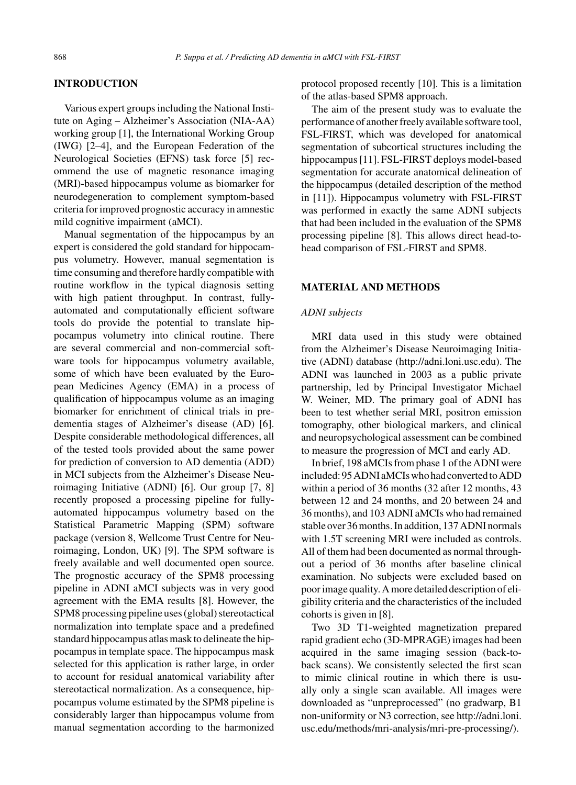#### **INTRODUCTION**

Various expert groups including the National Institute on Aging – Alzheimer's Association (NIA-AA) working group [1], the International Working Group (IWG) [2–4], and the European Federation of the Neurological Societies (EFNS) task force [5] recommend the use of magnetic resonance imaging (MRI)-based hippocampus volume as biomarker for neurodegeneration to complement symptom-based criteria for improved prognostic accuracy in amnestic mild cognitive impairment (aMCI).

Manual segmentation of the hippocampus by an expert is considered the gold standard for hippocampus volumetry. However, manual segmentation is time consuming and therefore hardly compatible with routine workflow in the typical diagnosis setting with high patient throughput. In contrast, fullyautomated and computationally efficient software tools do provide the potential to translate hippocampus volumetry into clinical routine. There are several commercial and non-commercial software tools for hippocampus volumetry available, some of which have been evaluated by the European Medicines Agency (EMA) in a process of qualification of hippocampus volume as an imaging biomarker for enrichment of clinical trials in predementia stages of Alzheimer's disease (AD) [6]. Despite considerable methodological differences, all of the tested tools provided about the same power for prediction of conversion to AD dementia (ADD) in MCI subjects from the Alzheimer's Disease Neuroimaging Initiative (ADNI) [6]. Our group [7, 8] recently proposed a processing pipeline for fullyautomated hippocampus volumetry based on the Statistical Parametric Mapping (SPM) software package (version 8, Wellcome Trust Centre for Neuroimaging, London, UK) [9]. The SPM software is freely available and well documented open source. The prognostic accuracy of the SPM8 processing pipeline in ADNI aMCI subjects was in very good agreement with the EMA results [8]. However, the SPM8 processing pipeline uses (global) stereotactical normalization into template space and a predefined standard hippocampus atlas mask to delineate the hippocampus in template space. The hippocampus mask selected for this application is rather large, in order to account for residual anatomical variability after stereotactical normalization. As a consequence, hippocampus volume estimated by the SPM8 pipeline is considerably larger than hippocampus volume from manual segmentation according to the harmonized

protocol proposed recently [10]. This is a limitation of the atlas-based SPM8 approach.

The aim of the present study was to evaluate the performance of another freely available software tool, FSL-FIRST, which was developed for anatomical segmentation of subcortical structures including the hippocampus [11]. FSL-FIRST deploys model-based segmentation for accurate anatomical delineation of the hippocampus (detailed description of the method in [11]). Hippocampus volumetry with FSL-FIRST was performed in exactly the same ADNI subjects that had been included in the evaluation of the SPM8 processing pipeline [8]. This allows direct head-tohead comparison of FSL-FIRST and SPM8.

#### **MATERIAL AND METHODS**

#### *ADNI subjects*

MRI data used in this study were obtained from the Alzheimer's Disease Neuroimaging Initiative (ADNI) database [\(http://adni.loni.usc.edu\)](http://adni.loni.usc.edu). The ADNI was launched in 2003 as a public private partnership, led by Principal Investigator Michael W. Weiner, MD. The primary goal of ADNI has been to test whether serial MRI, positron emission tomography, other biological markers, and clinical and neuropsychological assessment can be combined to measure the progression of MCI and early AD.

In brief, 198 aMCIs from phase 1 of the ADNI were included:95ADNIaMCIswhohadconvertedtoADD within a period of 36 months (32 after 12 months, 43 between 12 and 24 months, and 20 between 24 and 36 months), and 103 ADNI aMCIs who had remained stable over 36 months. In addition, 137 ADNI normals with 1.5T screening MRI were included as controls. All of them had been documented as normal throughout a period of 36 months after baseline clinical examination. No subjects were excluded based on poor image quality. A more detailed description of eligibility criteria and the characteristics of the included cohorts is given in [8].

Two 3D T1-weighted magnetization prepared rapid gradient echo (3D-MPRAGE) images had been acquired in the same imaging session (back-toback scans). We consistently selected the first scan to mimic clinical routine in which there is usually only a single scan available. All images were downloaded as "unpreprocessed" (no gradwarp, B1 non-uniformity or N3 correction, see [http://adni.loni.](http://adni.loni.usc.edu/methods/mri-analysis/mri-pre-processing/) [usc.edu/methods/mri-analysis/mri-pre-processing/\)](http://adni.loni.usc.edu/methods/mri-analysis/mri-pre-processing/).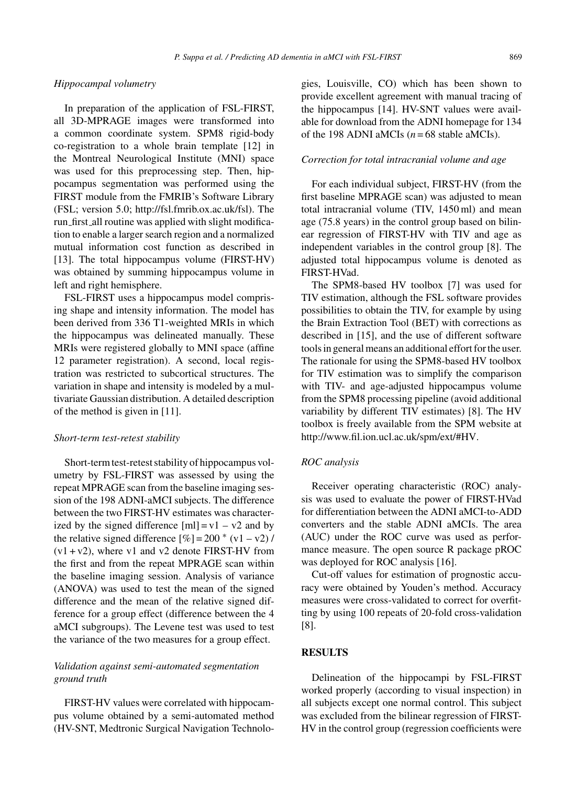#### *Hippocampal volumetry*

In preparation of the application of FSL-FIRST, all 3D-MPRAGE images were transformed into a common coordinate system. SPM8 rigid-body co-registration to a whole brain template [12] in the Montreal Neurological Institute (MNI) space was used for this preprocessing step. Then, hippocampus segmentation was performed using the FIRST module from the FMRIB's Software Library (FSL; version 5.0; [http://fsl.fmrib.ox.ac.uk/fsl\)](http://fsl.fmrib.ox.ac.uk/fsl). The run first all routine was applied with slight modification to enable a larger search region and a normalized mutual information cost function as described in [13]. The total hippocampus volume (FIRST-HV) was obtained by summing hippocampus volume in left and right hemisphere.

FSL-FIRST uses a hippocampus model comprising shape and intensity information. The model has been derived from 336 T1-weighted MRIs in which the hippocampus was delineated manually. These MRIs were registered globally to MNI space (affine 12 parameter registration). A second, local registration was restricted to subcortical structures. The variation in shape and intensity is modeled by a multivariate Gaussian distribution. A detailed description of the method is given in [11].

#### *Short-term test-retest stability*

Short-term test-retest stability of hippocampus volumetry by FSL-FIRST was assessed by using the repeat MPRAGE scan from the baseline imaging session of the 198 ADNI-aMCI subjects. The difference between the two FIRST-HV estimates was characterized by the signed difference  $[m] = v1 - v2$  and by the relative signed difference  $[\%] = 200 * (v1 - v2) /$  $(v1 + v2)$ , where v1 and v2 denote FIRST-HV from the first and from the repeat MPRAGE scan within the baseline imaging session. Analysis of variance (ANOVA) was used to test the mean of the signed difference and the mean of the relative signed difference for a group effect (difference between the 4 aMCI subgroups). The Levene test was used to test the variance of the two measures for a group effect.

# *Validation against semi-automated segmentation ground truth*

FIRST-HV values were correlated with hippocampus volume obtained by a semi-automated method (HV-SNT, Medtronic Surgical Navigation Technologies, Louisville, CO) which has been shown to provide excellent agreement with manual tracing of the hippocampus [14]. HV-SNT values were available for download from the ADNI homepage for 134 of the 198 ADNI aMCIs  $(n = 68$  stable aMCIs).

## *Correction for total intracranial volume and age*

For each individual subject, FIRST-HV (from the first baseline MPRAGE scan) was adjusted to mean total intracranial volume (TIV, 1450 ml) and mean age (75.8 years) in the control group based on bilinear regression of FIRST-HV with TIV and age as independent variables in the control group [8]. The adjusted total hippocampus volume is denoted as FIRST-HVad.

The SPM8-based HV toolbox [7] was used for TIV estimation, although the FSL software provides possibilities to obtain the TIV, for example by using the Brain Extraction Tool (BET) with corrections as described in [15], and the use of different software tools in general means an additional effort for the user. The rationale for using the SPM8-based HV toolbox for TIV estimation was to simplify the comparison with TIV- and age-adjusted hippocampus volume from the SPM8 processing pipeline (avoid additional variability by different TIV estimates) [8]. The HV toolbox is freely available from the SPM website at <http://www.fil.ion.ucl.ac.uk/spm/ext/#HV>.

#### *ROC analysis*

Receiver operating characteristic (ROC) analysis was used to evaluate the power of FIRST-HVad for differentiation between the ADNI aMCI-to-ADD converters and the stable ADNI aMCIs. The area (AUC) under the ROC curve was used as performance measure. The open source R package pROC was deployed for ROC analysis [16].

Cut-off values for estimation of prognostic accuracy were obtained by Youden's method. Accuracy measures were cross-validated to correct for overfitting by using 100 repeats of 20-fold cross-validation [8].

## **RESULTS**

Delineation of the hippocampi by FSL-FIRST worked properly (according to visual inspection) in all subjects except one normal control. This subject was excluded from the bilinear regression of FIRST-HV in the control group (regression coefficients were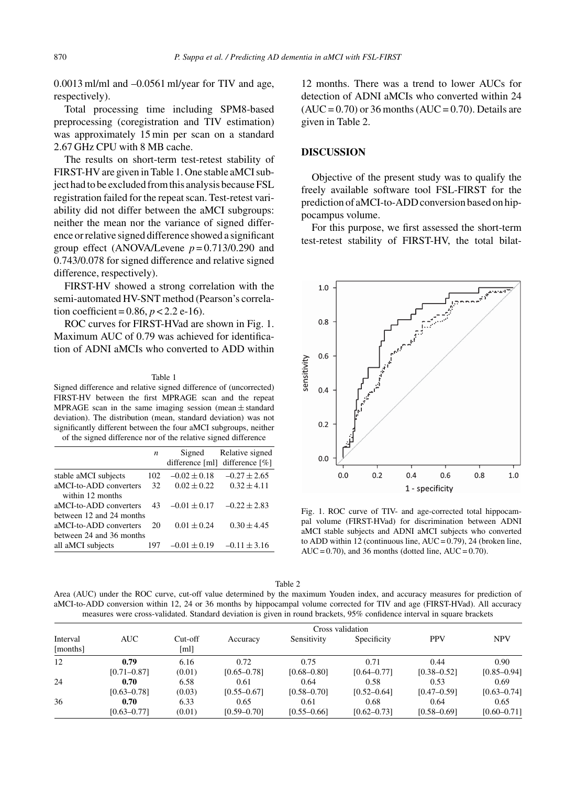0.0013 ml/ml and –0.0561 ml/year for TIV and age, respectively).

Total processing time including SPM8-based preprocessing (coregistration and TIV estimation) was approximately 15 min per scan on a standard 2.67 GHz CPU with 8 MB cache.

The results on short-term test-retest stability of FIRST-HV are given in Table 1. One stable aMCI subject had to be excluded from this analysis because FSL registration failed for the repeat scan. Test-retest variability did not differ between the aMCI subgroups: neither the mean nor the variance of signed difference or relative signed difference showed a significant group effect (ANOVA/Levene *p* = 0.713/0.290 and 0.743/0.078 for signed difference and relative signed difference, respectively).

FIRST-HV showed a strong correlation with the semi-automated HV-SNT method (Pearson's correlation coefficient =  $0.86$ ,  $p < 2.2$  e-16).

ROC curves for FIRST-HVad are shown in Fig. 1. Maximum AUC of 0.79 was achieved for identification of ADNI aMCIs who converted to ADD within

#### Table 1

Signed difference and relative signed difference of (uncorrected) FIRST-HV between the first MPRAGE scan and the repeat MPRAGE scan in the same imaging session (mean  $\pm$  standard deviation). The distribution (mean, standard deviation) was not significantly different between the four aMCI subgroups, neither of the signed difference nor of the relative signed difference

|                          | n   | Signed           | Relative signed                  |
|--------------------------|-----|------------------|----------------------------------|
|                          |     |                  | difference [ml] difference $[%]$ |
| stable aMCI subjects     | 102 | $-0.02 \pm 0.18$ | $-0.27 \pm 2.65$                 |
| aMCI-to-ADD converters   | 32  | $0.02 \pm 0.22$  | $0.32 + 4.11$                    |
| within 12 months         |     |                  |                                  |
| aMCI-to-ADD converters   | 43  | $-0.01 \pm 0.17$ | $-0.22 \pm 2.83$                 |
| between 12 and 24 months |     |                  |                                  |
| aMCI-to-ADD converters   | 20  | $0.01 \pm 0.24$  | $0.30 \pm 4.45$                  |
| between 24 and 36 months |     |                  |                                  |
| all aMCI subjects        | 197 | $-0.01 \pm 0.19$ | $-0.11 \pm 3.16$                 |

12 months. There was a trend to lower AUCs for detection of ADNI aMCIs who converted within 24  $(AUC = 0.70)$  or 36 months  $(AUC = 0.70)$ . Details are given in Table 2.

#### **DISCUSSION**

Objective of the present study was to qualify the freely available software tool FSL-FIRST for the prediction of aMCI-to-ADD conversion based on hippocampus volume.

For this purpose, we first assessed the short-term test-retest stability of FIRST-HV, the total bilat-



Fig. 1. ROC curve of TIV- and age-corrected total hippocampal volume (FIRST-HVad) for discrimination between ADNI aMCI stable subjects and ADNI aMCI subjects who converted to ADD within 12 (continuous line,  $AUC = 0.79$ ), 24 (broken line, AUC = 0.70), and 36 months (dotted line,  $AUC = 0.70$ ).

|--|--|

Area (AUC) under the ROC curve, cut-off value determined by the maximum Youden index, and accuracy measures for prediction of aMCI-to-ADD conversion within 12, 24 or 36 months by hippocampal volume corrected for TIV and age (FIRST-HVad). All accuracy measures were cross-validated. Standard deviation is given in round brackets, 95% confidence interval in square brackets

| Interval<br>[months] |                         |                   |                         |                         |                         |                         |                         |
|----------------------|-------------------------|-------------------|-------------------------|-------------------------|-------------------------|-------------------------|-------------------------|
|                      | AUC-                    | $Cut-off$<br>[ml] | Accuracy                | Sensitivity             | Specificity             | <b>PPV</b>              | <b>NPV</b>              |
| 12                   | 0.79<br>$[0.71 - 0.87]$ | 6.16<br>(0.01)    | 0.72<br>$[0.65 - 0.78]$ | 0.75<br>$[0.68 - 0.80]$ | 0.71<br>$[0.64 - 0.77]$ | 0.44<br>$[0.38 - 0.52]$ | 0.90<br>$[0.85 - 0.94]$ |
| 24                   | 0.70                    | 6.58              | 0.61                    | 0.64                    | 0.58                    | 0.53                    | 0.69                    |
| 36                   | $[0.63 - 0.78]$<br>0.70 | (0.03)<br>6.33    | $[0.55 - 0.67]$<br>0.65 | $[0.58 - 0.70]$<br>0.61 | $[0.52 - 0.64]$<br>0.68 | $[0.47 - 0.59]$<br>0.64 | $[0.63 - 0.74]$<br>0.65 |
|                      | $[0.63 - 0.77]$         | (0.01)            | $[0.59 - 0.70]$         | $[0.55 - 0.66]$         | $[0.62 - 0.73]$         | $[0.58 - 0.69]$         | $[0.60 - 0.71]$         |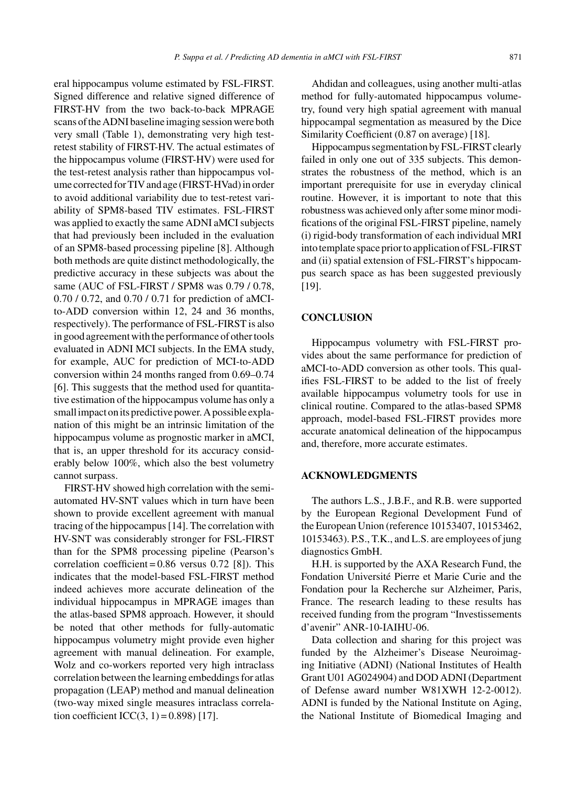eral hippocampus volume estimated by FSL-FIRST. Signed difference and relative signed difference of FIRST-HV from the two back-to-back MPRAGE scans of the ADNI baseline imaging session were both very small (Table 1), demonstrating very high testretest stability of FIRST-HV. The actual estimates of the hippocampus volume (FIRST-HV) were used for the test-retest analysis rather than hippocampus volume corrected for TIV and age (FIRST-HVad) in order to avoid additional variability due to test-retest variability of SPM8-based TIV estimates. FSL-FIRST was applied to exactly the same ADNI aMCI subjects that had previously been included in the evaluation of an SPM8-based processing pipeline [8]. Although both methods are quite distinct methodologically, the predictive accuracy in these subjects was about the same (AUC of FSL-FIRST / SPM8 was 0.79 / 0.78, 0.70 / 0.72, and 0.70 / 0.71 for prediction of aMCIto-ADD conversion within 12, 24 and 36 months, respectively). The performance of FSL-FIRST is also in good agreement with the performance of other tools evaluated in ADNI MCI subjects. In the EMA study, for example, AUC for prediction of MCI-to-ADD conversion within 24 months ranged from 0.69–0.74 [6]. This suggests that the method used for quantitative estimation of the hippocampus volume has only a small impact on its predictive power. A possible explanation of this might be an intrinsic limitation of the hippocampus volume as prognostic marker in aMCI, that is, an upper threshold for its accuracy considerably below 100%, which also the best volumetry cannot surpass.

FIRST-HV showed high correlation with the semiautomated HV-SNT values which in turn have been shown to provide excellent agreement with manual tracing of the hippocampus [14]. The correlation with HV-SNT was considerably stronger for FSL-FIRST than for the SPM8 processing pipeline (Pearson's correlation coefficient =  $0.86$  versus  $0.72$  [8]). This indicates that the model-based FSL-FIRST method indeed achieves more accurate delineation of the individual hippocampus in MPRAGE images than the atlas-based SPM8 approach. However, it should be noted that other methods for fully-automatic hippocampus volumetry might provide even higher agreement with manual delineation. For example, Wolz and co-workers reported very high intraclass correlation between the learning embeddings for atlas propagation (LEAP) method and manual delineation (two-way mixed single measures intraclass correlation coefficient ICC(3, 1) =  $0.898$ ) [17].

Ahdidan and colleagues, using another multi-atlas method for fully-automated hippocampus volumetry, found very high spatial agreement with manual hippocampal segmentation as measured by the Dice Similarity Coefficient (0.87 on average) [18].

Hippocampus segmentation by FSL-FIRST clearly failed in only one out of 335 subjects. This demonstrates the robustness of the method, which is an important prerequisite for use in everyday clinical routine. However, it is important to note that this robustness was achieved only after some minor modifications of the original FSL-FIRST pipeline, namely (i) rigid-body transformation of each individual MRI into template space prior to application of FSL-FIRST and (ii) spatial extension of FSL-FIRST's hippocampus search space as has been suggested previously [19].

#### **CONCLUSION**

Hippocampus volumetry with FSL-FIRST provides about the same performance for prediction of aMCI-to-ADD conversion as other tools. This qualifies FSL-FIRST to be added to the list of freely available hippocampus volumetry tools for use in clinical routine. Compared to the atlas-based SPM8 approach, model-based FSL-FIRST provides more accurate anatomical delineation of the hippocampus and, therefore, more accurate estimates.

### **ACKNOWLEDGMENTS**

The authors L.S., J.B.F., and R.B. were supported by the European Regional Development Fund of the European Union (reference 10153407, 10153462, 10153463). P.S., T.K., and L.S. are employees of jung diagnostics GmbH.

H.H. is supported by the AXA Research Fund, the Fondation Université Pierre et Marie Curie and the Fondation pour la Recherche sur Alzheimer, Paris, France. The research leading to these results has received funding from the program "Investissements d'avenir" ANR-10-IAIHU-06.

Data collection and sharing for this project was funded by the Alzheimer's Disease Neuroimaging Initiative (ADNI) (National Institutes of Health Grant U01 AG024904) and DOD ADNI (Department of Defense award number W81XWH 12-2-0012). ADNI is funded by the National Institute on Aging, the National Institute of Biomedical Imaging and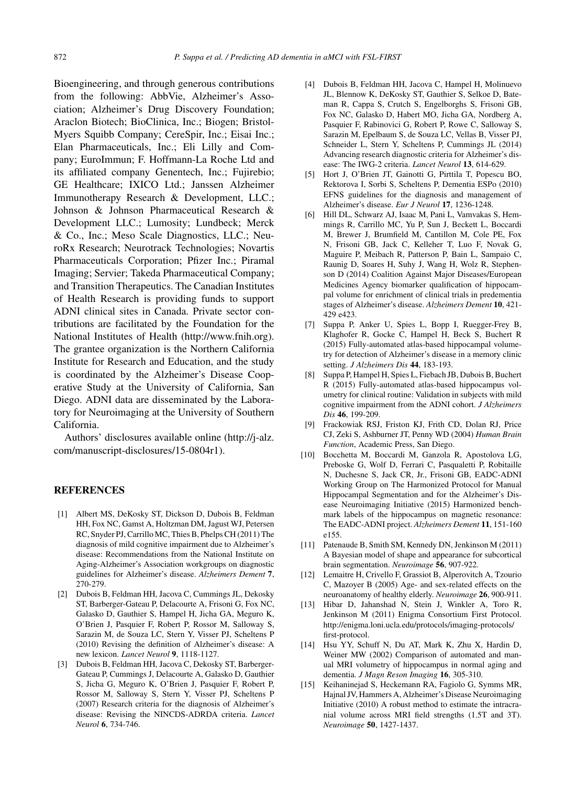Bioengineering, and through generous contributions from the following: AbbVie, Alzheimer's Association; Alzheimer's Drug Discovery Foundation; Araclon Biotech; BioClinica, Inc.; Biogen; Bristol-Myers Squibb Company; CereSpir, Inc.; Eisai Inc.; Elan Pharmaceuticals, Inc.; Eli Lilly and Company; EuroImmun; F. Hoffmann-La Roche Ltd and its affiliated company Genentech, Inc.; Fujirebio; GE Healthcare; IXICO Ltd.; Janssen Alzheimer Immunotherapy Research & Development, LLC.; Johnson & Johnson Pharmaceutical Research & Development LLC.; Lumosity; Lundbeck; Merck & Co., Inc.; Meso Scale Diagnostics, LLC.; NeuroRx Research; Neurotrack Technologies; Novartis Pharmaceuticals Corporation; Pfizer Inc.; Piramal Imaging; Servier; Takeda Pharmaceutical Company; and Transition Therapeutics. The Canadian Institutes of Health Research is providing funds to support ADNI clinical sites in Canada. Private sector contributions are facilitated by the Foundation for the National Institutes of Health ([http://www.fnih.org\)](http://www.fnih.org). The grantee organization is the Northern California Institute for Research and Education, and the study is coordinated by the Alzheimer's Disease Cooperative Study at the University of California, San Diego. ADNI data are disseminated by the Laboratory for Neuroimaging at the University of Southern California.

Authors' disclosures available online [\(http://j-alz.](http://j-alz.com/manuscript-disclosures/15-0804r1) [com/manuscript-disclosures/15-0804r1](http://j-alz.com/manuscript-disclosures/15-0804r1)).

# **REFERENCES**

- [1] Albert MS, DeKosky ST, Dickson D, Dubois B, Feldman HH, Fox NC, Gamst A, Holtzman DM, Jagust WJ, Petersen RC, Snyder PJ, Carrillo MC, Thies B, Phelps CH (2011) The diagnosis of mild cognitive impairment due to Alzheimer's disease: Recommendations from the National Institute on Aging-Alzheimer's Association workgroups on diagnostic guidelines for Alzheimer's disease. *Alzheimers Dement* **7**, 270-279.
- [2] Dubois B, Feldman HH, Jacova C, Cummings JL, Dekosky ST, Barberger-Gateau P, Delacourte A, Frisoni G, Fox NC, Galasko D, Gauthier S, Hampel H, Jicha GA, Meguro K, O'Brien J, Pasquier F, Robert P, Rossor M, Salloway S, Sarazin M, de Souza LC, Stern Y, Visser PJ, Scheltens P (2010) Revising the definition of Alzheimer's disease: A new lexicon. *Lancet Neurol* **9**, 1118-1127.
- [3] Dubois B, Feldman HH, Jacova C, Dekosky ST, Barberger-Gateau P, Cummings J, Delacourte A, Galasko D, Gauthier S, Jicha G, Meguro K, O'Brien J, Pasquier F, Robert P, Rossor M, Salloway S, Stern Y, Visser PJ, Scheltens P (2007) Research criteria for the diagnosis of Alzheimer's disease: Revising the NINCDS-ADRDA criteria. *Lancet Neurol* **6**, 734-746.
- [4] Dubois B, Feldman HH, Jacova C, Hampel H, Molinuevo JL, Blennow K, DeKosky ST, Gauthier S, Selkoe D, Bateman R, Cappa S, Crutch S, Engelborghs S, Frisoni GB, Fox NC, Galasko D, Habert MO, Jicha GA, Nordberg A, Pasquier F, Rabinovici G, Robert P, Rowe C, Salloway S, Sarazin M, Epelbaum S, de Souza LC, Vellas B, Visser PJ, Schneider L, Stern Y, Scheltens P, Cummings JL (2014) Advancing research diagnostic criteria for Alzheimer's disease: The IWG-2 criteria. *Lancet Neurol* **13**, 614-629.
- [5] Hort J, O'Brien JT, Gainotti G, Pirttila T, Popescu BO, Rektorova I, Sorbi S, Scheltens P, Dementia ESPo (2010) EFNS guidelines for the diagnosis and management of Alzheimer's disease. *Eur J Neurol* **17**, 1236-1248.
- [6] Hill DL, Schwarz AJ, Isaac M, Pani L, Vamvakas S, Hemmings R, Carrillo MC, Yu P, Sun J, Beckett L, Boccardi M, Brewer J, Brumfield M, Cantillon M, Cole PE, Fox N, Frisoni GB, Jack C, Kelleher T, Luo F, Novak G, Maguire P, Meibach R, Patterson P, Bain L, Sampaio C, Raunig D, Soares H, Suhy J, Wang H, Wolz R, Stephenson D (2014) Coalition Against Major Diseases/European Medicines Agency biomarker qualification of hippocampal volume for enrichment of clinical trials in predementia stages of Alzheimer's disease. *Alzheimers Dement* **10**, 421- 429 e423.
- [7] Suppa P, Anker U, Spies L, Bopp I, Ruegger-Frey B, Klaghofer R, Gocke C, Hampel H, Beck S, Buchert R (2015) Fully-automated atlas-based hippocampal volumetry for detection of Alzheimer's disease in a memory clinic setting. *J Alzheimers Dis* **44**, 183-193.
- [8] Suppa P, Hampel H, Spies L, Fiebach JB, Dubois B, Buchert R (2015) Fully-automated atlas-based hippocampus volumetry for clinical routine: Validation in subjects with mild cognitive impairment from the ADNI cohort. *J Alzheimers Dis* **46**, 199-209.
- [9] Frackowiak RSJ, Friston KJ, Frith CD, Dolan RJ, Price CJ, Zeki S, Ashburner JT, Penny WD (2004) *Human Brain Function*, Academic Press, San Diego.
- [10] Bocchetta M, Boccardi M, Ganzola R, Apostolova LG, Preboske G, Wolf D, Ferrari C, Pasqualetti P, Robitaille N, Duchesne S, Jack CR, Jr., Frisoni GB, EADC-ADNI Working Group on The Harmonized Protocol for Manual Hippocampal Segmentation and for the Alzheimer's Disease Neuroimaging Initiative (2015) Harmonized benchmark labels of the hippocampus on magnetic resonance: The EADC-ADNI project. *Alzheimers Dement* **11**, 151-160 e155.
- [11] Patenaude B, Smith SM, Kennedy DN, Jenkinson M (2011) A Bayesian model of shape and appearance for subcortical brain segmentation. *Neuroimage* **56**, 907-922.
- [12] Lemaitre H, Crivello F, Grassiot B, Alperovitch A, Tzourio C, Mazoyer B (2005) Age- and sex-related effects on the neuroanatomy of healthy elderly. *Neuroimage* **26**, 900-911.
- [13] Hibar D, Jahanshad N, Stein J, Winkler A, Toro R, Jenkinson M (2011) Enigma Consortium First Protocol. [http://enigma.loni.ucla.edu/protocols/imaging-protocols/](http://enigma.loni.ucla.edu/protocols/imaging-protocols/first-protocol) [first-protocol](http://enigma.loni.ucla.edu/protocols/imaging-protocols/first-protocol).
- [14] Hsu YY, Schuff N, Du AT, Mark K, Zhu X, Hardin D, Weiner MW (2002) Comparison of automated and manual MRI volumetry of hippocampus in normal aging and dementia. *J Magn Reson Imaging* **16**, 305-310.
- [15] Keihaninejad S, Heckemann RA, Fagiolo G, Symms MR, Hajnal JV, Hammers A, Alzheimer's Disease Neuroimaging Initiative (2010) A robust method to estimate the intracranial volume across MRI field strengths (1.5T and 3T). *Neuroimage* **50**, 1427-1437.